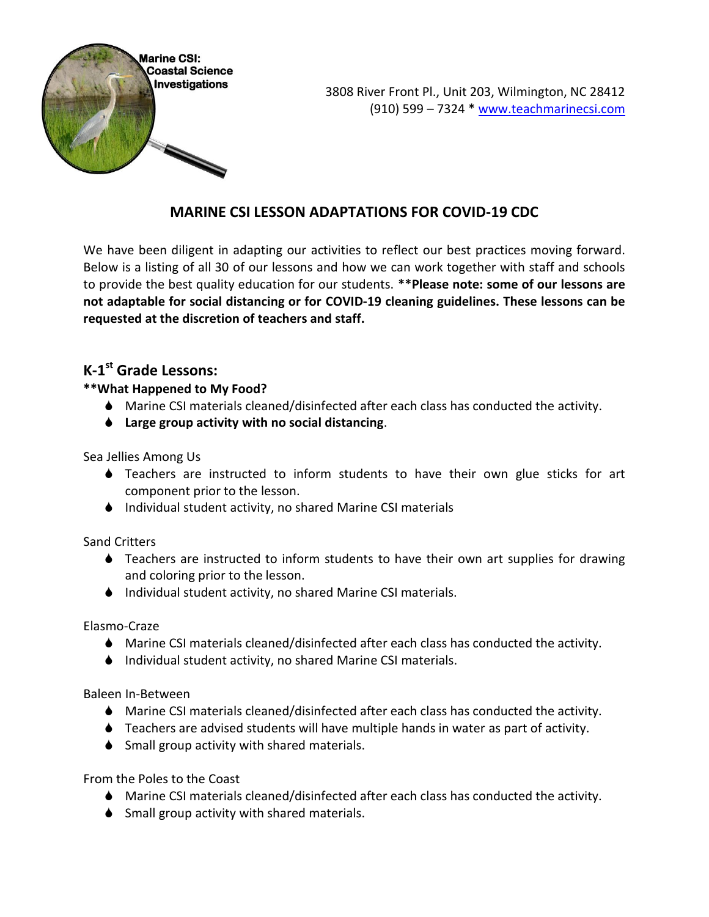

### **MARINE CSI LESSON ADAPTATIONS FOR COVID-19 CDC**

We have been diligent in adapting our activities to reflect our best practices moving forward. Below is a listing of all 30 of our lessons and how we can work together with staff and schools to provide the best quality education for our students. **\*\*Please note: some of our lessons are not adaptable for social distancing or for COVID-19 cleaning guidelines. These lessons can be requested at the discretion of teachers and staff.**

### **K-1 st Grade Lessons:**

#### **\*\*What Happened to My Food?**

- Marine CSI materials cleaned/disinfected after each class has conducted the activity.
- **Large group activity with no social distancing**.

Sea Jellies Among Us

- Teachers are instructed to inform students to have their own glue sticks for art component prior to the lesson.
- ♦ Individual student activity, no shared Marine CSI materials

Sand Critters

- Teachers are instructed to inform students to have their own art supplies for drawing and coloring prior to the lesson.
- Individual student activity, no shared Marine CSI materials.

Elasmo-Craze

- Marine CSI materials cleaned/disinfected after each class has conducted the activity.
- ♦ Individual student activity, no shared Marine CSI materials.

Baleen In-Between

- Marine CSI materials cleaned/disinfected after each class has conducted the activity.
- Teachers are advised students will have multiple hands in water as part of activity.
- ♦ Small group activity with shared materials.

From the Poles to the Coast

- Marine CSI materials cleaned/disinfected after each class has conducted the activity.
- ♦ Small group activity with shared materials.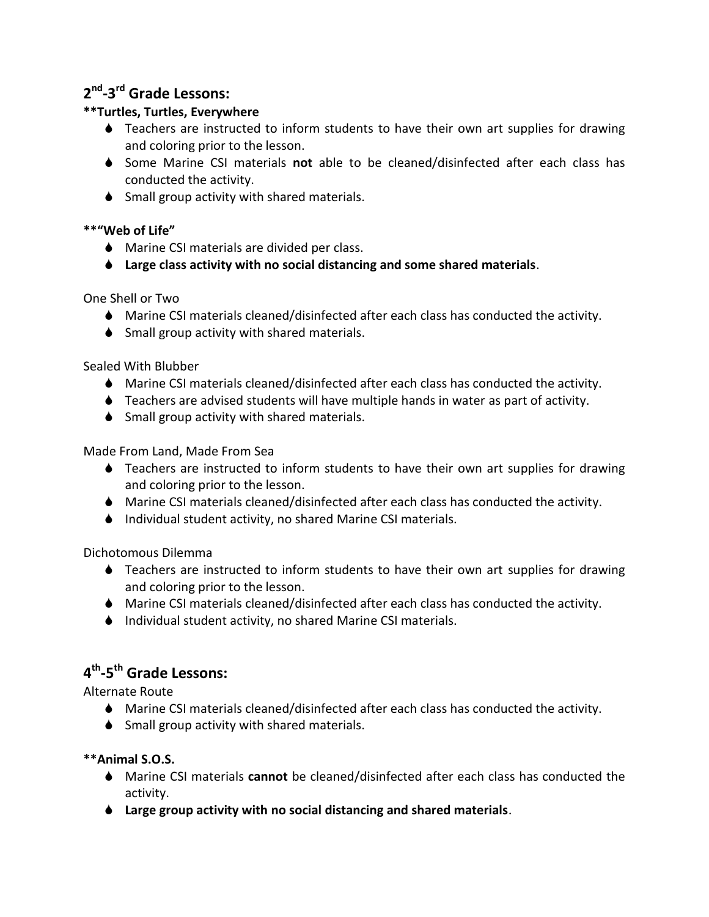## **2 nd -3 rd Grade Lessons:**

### **\*\*Turtles, Turtles, Everywhere**

- Teachers are instructed to inform students to have their own art supplies for drawing and coloring prior to the lesson.
- Some Marine CSI materials **not** able to be cleaned/disinfected after each class has conducted the activity.
- $\bullet$  Small group activity with shared materials.

#### **\*\*"Web of Life"**

- ♦ Marine CSI materials are divided per class.
- **Large class activity with no social distancing and some shared materials**.

One Shell or Two

- Marine CSI materials cleaned/disinfected after each class has conducted the activity.
- ♦ Small group activity with shared materials.

Sealed With Blubber

- Marine CSI materials cleaned/disinfected after each class has conducted the activity.
- Teachers are advised students will have multiple hands in water as part of activity.
- $\bullet$  Small group activity with shared materials.

Made From Land, Made From Sea

- Teachers are instructed to inform students to have their own art supplies for drawing and coloring prior to the lesson.
- Marine CSI materials cleaned/disinfected after each class has conducted the activity.
- ♦ Individual student activity, no shared Marine CSI materials.

Dichotomous Dilemma

- Teachers are instructed to inform students to have their own art supplies for drawing and coloring prior to the lesson.
- Marine CSI materials cleaned/disinfected after each class has conducted the activity.
- ♦ Individual student activity, no shared Marine CSI materials.

# **4 th -5 th Grade Lessons:**

Alternate Route

- Marine CSI materials cleaned/disinfected after each class has conducted the activity.
- ♦ Small group activity with shared materials.

**\*\*Animal S.O.S.**

- Marine CSI materials **cannot** be cleaned/disinfected after each class has conducted the activity.
- **Large group activity with no social distancing and shared materials**.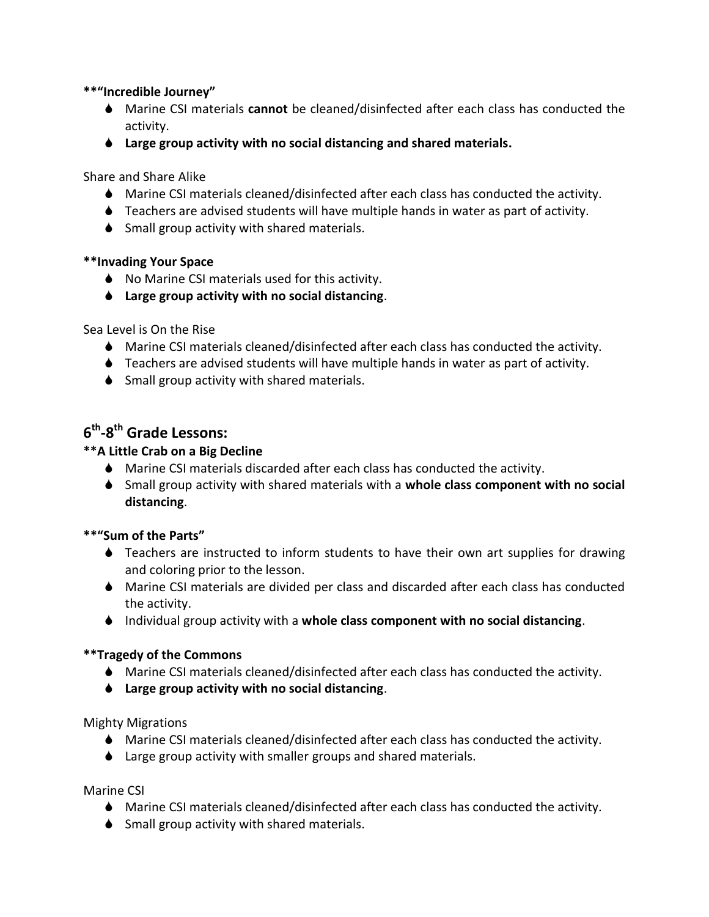#### **\*\*"Incredible Journey"**

- Marine CSI materials **cannot** be cleaned/disinfected after each class has conducted the activity.
- **Large group activity with no social distancing and shared materials.**

Share and Share Alike

- Marine CSI materials cleaned/disinfected after each class has conducted the activity.
- Teachers are advised students will have multiple hands in water as part of activity.
- ♦ Small group activity with shared materials.

#### **\*\*Invading Your Space**

- ♦ No Marine CSI materials used for this activity.
- **Large group activity with no social distancing**.

Sea Level is On the Rise

- Marine CSI materials cleaned/disinfected after each class has conducted the activity.
- Teachers are advised students will have multiple hands in water as part of activity.
- ♦ Small group activity with shared materials.

## **6 th -8 th Grade Lessons:**

#### **\*\*A Little Crab on a Big Decline**

- Marine CSI materials discarded after each class has conducted the activity.
- Small group activity with shared materials with a **whole class component with no social distancing**.

#### **\*\*"Sum of the Parts"**

- Teachers are instructed to inform students to have their own art supplies for drawing and coloring prior to the lesson.
- Marine CSI materials are divided per class and discarded after each class has conducted the activity.
- Individual group activity with a **whole class component with no social distancing**.

#### **\*\*Tragedy of the Commons**

- Marine CSI materials cleaned/disinfected after each class has conducted the activity.
- **Large group activity with no social distancing**.

Mighty Migrations

- Marine CSI materials cleaned/disinfected after each class has conducted the activity.
- ♦ Large group activity with smaller groups and shared materials.

Marine CSI

- Marine CSI materials cleaned/disinfected after each class has conducted the activity.
- $\bullet$  Small group activity with shared materials.